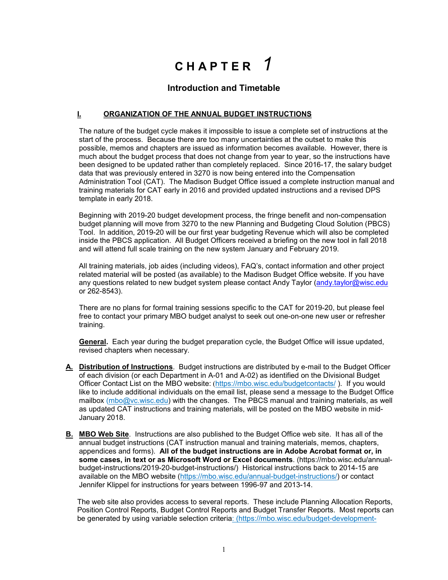# **C H A P T E R** *1*

# **Introduction and Timetable**

### **I. ORGANIZATION OF THE ANNUAL BUDGET INSTRUCTIONS**

The nature of the budget cycle makes it impossible to issue a complete set of instructions at the start of the process. Because there are too many uncertainties at the outset to make this possible, memos and chapters are issued as information becomes available. However, there is much about the budget process that does not change from year to year, so the instructions have been designed to be updated rather than completely replaced. Since 2016-17, the salary budget data that was previously entered in 3270 is now being entered into the Compensation Administration Tool (CAT). The Madison Budget Office issued a complete instruction manual and training materials for CAT early in 2016 and provided updated instructions and a revised DPS template in early 2018.

Beginning with 2019-20 budget development process, the fringe benefit and non-compensation budget planning will move from 3270 to the new Planning and Budgeting Cloud Solution (PBCS) Tool. In addition, 2019-20 will be our first year budgeting Revenue which will also be completed inside the PBCS application. All Budget Officers received a briefing on the new tool in fall 2018 and will attend full scale training on the new system January and February 2019.

All training materials, job aides (including videos), FAQ's, contact information and other project related material will be posted (as available) to the Madison Budget Office website. If you have any questions related to new budget system please contact Andy Taylor [\(andy.taylor@wisc.edu](mailto:andy.taylor@wisc.edu) or 262-8543).

There are no plans for formal training sessions specific to the CAT for 2019-20, but please feel free to contact your primary MBO budget analyst to seek out one-on-one new user or refresher training.

**General.** Each year during the budget preparation cycle, the Budget Office will issue updated, revised chapters when necessary.

- **A. Distribution of Instructions**. Budget instructions are distributed by e-mail to the Budget Officer of each division (or each Department in A-01 and A-02) as identified on the Divisional Budget Officer Contact List on the MBO website: (<https://mbo.wisc.edu/budgetcontacts/> ). If you would like to include additional individuals on the email list, please send a message to the Budget Office mailbox [\(mbo@vc.wisc.edu\)](mailto:mbo@vc.wisc.edu) with the changes. The PBCS manual and training materials, as well as updated CAT instructions and training materials, will be posted on the MBO website in mid-January 2018.
- **B. MBO Web Site**. Instructions are also published to the Budget Office web site. It has all of the annual budget instructions (CAT instruction manual and training materials, memos, chapters, appendices and forms). **All of the budget instructions are in Adobe Acrobat format or, in some cases, in text or as Microsoft Word or Excel documents**. (https://mbo.wisc.edu/annualbudget-instructions/2019-20-budget-instructions/) Historical instructions back to 2014-15 are available on the MBO website [\(https://mbo.wisc.edu/annual-budget-instructions/\)](https://mbo.wisc.edu/annual-budget-instructions/) [or contact](http://www.mbo.wisc.edu/instructions-archive.htm)  Jennifer Klippel for instructions for years between 1996-97 and 2013-14.

The web site also provides access to several reports. These include Planning Allocation Reports, Position Control Reports, Budget Control Reports and Budget Transfer Reports. Most reports can be generated by using variable selection criteria: [\(https://mbo.wisc.edu/budget-development-](https://mbo.wisc.edu/budget-development-reports/)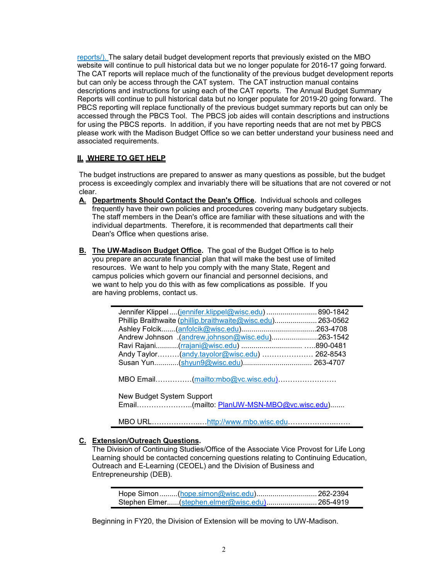[reports/\)](https://mbo.wisc.edu/budget-development-reports/). The salary detail budget development reports that previously existed on the MBO website will continue to pull historical data but we no longer populate for 2016-17 going forward. The CAT reports will replace much of the functionality of the previous budget development reports but can only be access through the CAT system. The CAT instruction manual contains descriptions and instructions for using each of the CAT reports. The Annual Budget Summary Reports will continue to pull historical data but no longer populate for 2019-20 going forward. The PBCS reporting will replace functionally of the previous budget summary reports but can only be accessed through the PBCS Tool. The PBCS job aides will contain descriptions and instructions for using the PBCS reports. In addition, if you have reporting needs that are not met by PBCS please work with the Madison Budget Office so we can better understand your business need and associated requirements.

#### **II. WHERE TO GET HELP**

The budget instructions are prepared to answer as many questions as possible, but the budget process is exceedingly complex and invariably there will be situations that are not covered or not clear.

- **A. Departments Should Contact the Dean's Office.** Individual schools and colleges frequently have their own policies and procedures covering many budgetary subjects. The staff members in the Dean's office are familiar with these situations and with the individual departments. Therefore, it is recommended that departments call their Dean's Office when questions arise.
- **B. The UW-Madison Budget Office.** The goal of the Budget Office is to help you prepare an accurate financial plan that will make the best use of limited resources. We want to help you comply with the many State, Regent and campus policies which govern our financial and personnel decisions, and we want to help you do this with as few complications as possible. If you are having problems, contact us.

| Jennifer Klippel  (jennifer.klippel@wisc.edu)  890-1842     |  |
|-------------------------------------------------------------|--|
| Phillip Braithwaite (phillip.braithwaite@wisc.edu) 263-0562 |  |
|                                                             |  |
| Andrew Johnson (andrew.johnson@wisc.edu)263-1542            |  |
|                                                             |  |
| Andy Taylor(andy.tayolor@wisc.edu)  262-8543                |  |
|                                                             |  |

MBO Email……………[\(mailto:mbo@vc.wisc.edu\)…](mailto:mbo@vc.wisc.edu)…………………

New Budget System Support

Email…………………..(mailto: [PlanUW-MSN-MBO@vc.wisc.edu\)](mailto:PlanUW-MSN-MBO@vc.wisc.edu).......

MBO URL………………..[…http://www.mbo.wisc.edu…](http://www.mbo.wisc.edu/)……………..……

## **C. Extension/Outreach Questions.**

The Division of Continuing Studies/Office of the Associate Vice Provost for Life Long Learning should be contacted concerning questions relating to Continuing Education, Outreach and E-Learning (CEOEL) and the Division of Business and Entrepreneurship (DEB).

| Hope Simon(hope.simon@wisc.edu) 262-2394       |  |
|------------------------------------------------|--|
| Stephen Elmer(stephen.elmer@wisc.edu) 265-4919 |  |

Beginning in FY20, the Division of Extension will be moving to UW-Madison.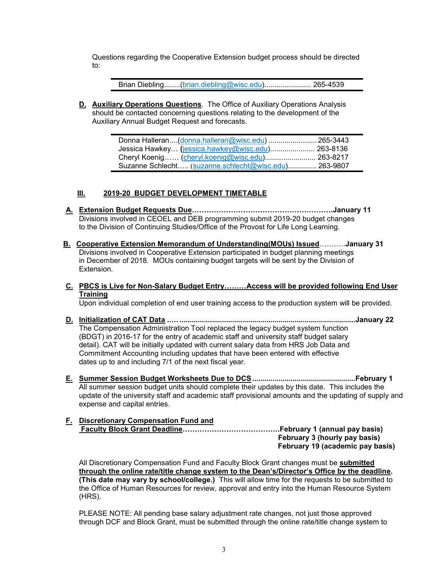Questions regarding the Cooperative Extension budget process should be directed to:

Brian Diebling........[\(brian.diebling@wisc.edu\)](mailto:brian.diebling@wisc.edu)....................... 265-4539

**D. Auxiliary Operations Questions**. The Office of Auxiliary Operations Analysis should be contacted concerning questions relating to the development of the Auxiliary Annual Budget Request and forecasts.

| Donna Halleran(donna.halleran@wisc.edu) 265-3443      |  |
|-------------------------------------------------------|--|
| Jessica Hawkey (jessica.hawkey@wisc.edu) 263-8136     |  |
| Cheryl Koenig (cheryl.koenig@wisc.edu) 263-8217       |  |
| Suzanne Schlecht (suzanne.schlecht@wisc.edu) 263-9807 |  |

## **III. 2019-20 BUDGET DEVELOPMENT TIMETABLE**

- **A. Extension Budget Requests Due………………………………………………….January 11**  Divisions involved in CEOEL and DEB programming submit 2019-20 budget changes to the Division of Continuing Studies/Office of the Provost for Life Long Learning.
- **B. Cooperative Extension Memorandum of Understanding(MOUs) Issued**…….….**January 31** Divisions involved in Cooperative Extension participated in budget planning meetings in December of 2018. MOUs containing budget targets will be sent by the Division of Extension.
- **C. PBCS is Live for Non-Salary Budget Entry………Access will be provided following End User Training**

Upon individual completion of end user training access to the production system will be provided.

- **D. Initialization of CAT Data ..….......................................................................................January 22** The Compensation Administration Tool replaced the legacy budget system function (BDGT) in 2016-17 for the entry of academic staff and university staff budget salary detail). CAT will be initially updated with current salary data from HRS Job Data and Commitment Accounting including updates that have been entered with effective dates up to and including 7/1 of the next fiscal year.
- **E. Summer Session Budget Worksheets Due to DCS...................................................February 1** All summer session budget units should complete their updates by this date. This includes the update of the university staff and academic staff provisional amounts and the updating of supply and expense and capital entries.
- **F. Discretionary Compensation Fund and Faculty Block Grant Deadline………………………………….February 1 (annual pay basis) February 3 (hourly pay basis) February 19 (academic pay basis)**

All Discretionary Compensation Fund and Faculty Block Grant changes must be **submitted through the online rate/title change system to the Dean's/Director's Office by the deadline. (This date may vary by school/college.)** This will allow time for the requests to be submitted to the Office of Human Resources for review, approval and entry into the Human Resource System (HRS).

PLEASE NOTE: All pending base salary adjustment rate changes, not just those approved through DCF and Block Grant, must be submitted through the online rate/title change system to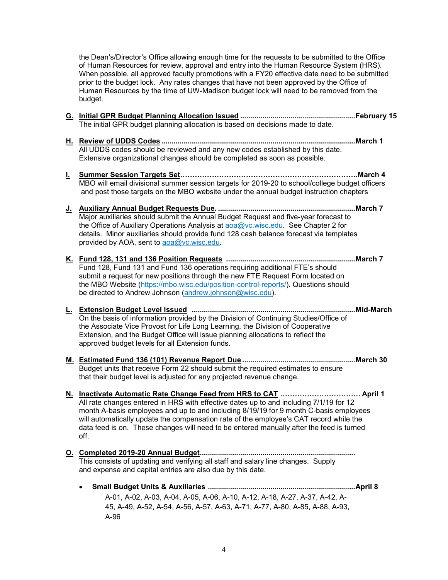the Dean's/Director's Office allowing enough time for the requests to be submitted to the Office of Human Resources for review, approval and entry into the Human Resource System (HRS). When possible, all approved faculty promotions with a FY20 effective date need to be submitted prior to the budget lock. Any rates changes that have not been approved by the Office of Human Resources by the time of UW-Madison budget lock will need to be removed from the budget.

- **G. Initial GPR Budget Planning Allocation Issued .........................................................February 15** The initial GPR budget planning allocation is based on decisions made to date.
- **H. Review of UDDS Codes ................................................................................................March 1** All UDDS codes should be reviewed and any new codes established by this date. Extensive organizational changes should be completed as soon as possible.
- **I. Summer Session Targets Set……………………………………………………………….March 4** MBO will email divisional summer session targets for 2019-20 to school/college budget officers and post those targets on the MBO website under the annual budget instruction chapters
- **J. Auxiliary Annual Budget Requests Due. ....................................................................March 7** Major auxiliaries should submit the Annual Budget Request and five-year forecast to the Office of Auxiliary Operations Analysis at [aoa@vc.wisc.edu.](mailto:aoa@vc.wisc.edu) See Chapter 2 for details. Minor auxiliaries should provide fund 128 cash balance forecast via templates provided by AOA, sent to [aoa@vc.wisc.edu.](mailto:aoa@vc.wisc.edu)
- **K. Fund 128, 131 and 136 Position Requests ................................................................March 7** Fund 128, Fund 131 and Fund 136 operations requiring additional FTE's should submit a request for new positions through the new FTE Request Form located on the MBO Website [\(https://mbo.wisc.edu/position-control-reports/\)](https://mbo.wisc.edu/position-control-reports/). Questions should be directed to Andrew Johnson [\(andrew.johnson@wisc.edu\)](mailto:andrew.johnson@wisc.edu).
- **L. Extension Budget Level Issued .................................................................................Mid-March** On the basis of information provided by the Division of Continuing Studies/Office of the Associate Vice Provost for Life Long Learning, the Division of Cooperative Extension, and the Budget Office will issue planning allocations to reflect the approved budget levels for all Extension funds.
- **M. Estimated Fund 136 (101) Revenue Report Due ........................................................March 30** Budget units that receive Form 22 should submit the required estimates to ensure that their budget level is adjusted for any projected revenue change.
- **N. Inactivate Automatic Rate Change Feed from HRS to CAT …………………………… April 1** All rate changes entered in HRS with effective dates up to and including 7/1/19 for 12 month A-basis employees and up to and including 8/19/19 for 9 month C-basis employees will automatically update the compensation rate of the employee's CAT record while the data feed is on. These changes will need to be entered manually after the feed is turned off.
- **O. Completed 2019-20 Annual Budget.............................................................................** This consists of updating and verifying all staff and salary line changes. Supply and expense and capital entries are also due by this date.
	- **Small Budget Units & Auxiliaries .........................................................................April 8**  A-01, A-02, A-03, A-04, A-05, A-06, A-10, A-12, A-18, A-27, A-37, A-42, A-45, A-49, A-52, A-54, A-56, A-57, A-63, A-71, A-77, A-80, A-85, A-88, A-93, A-96